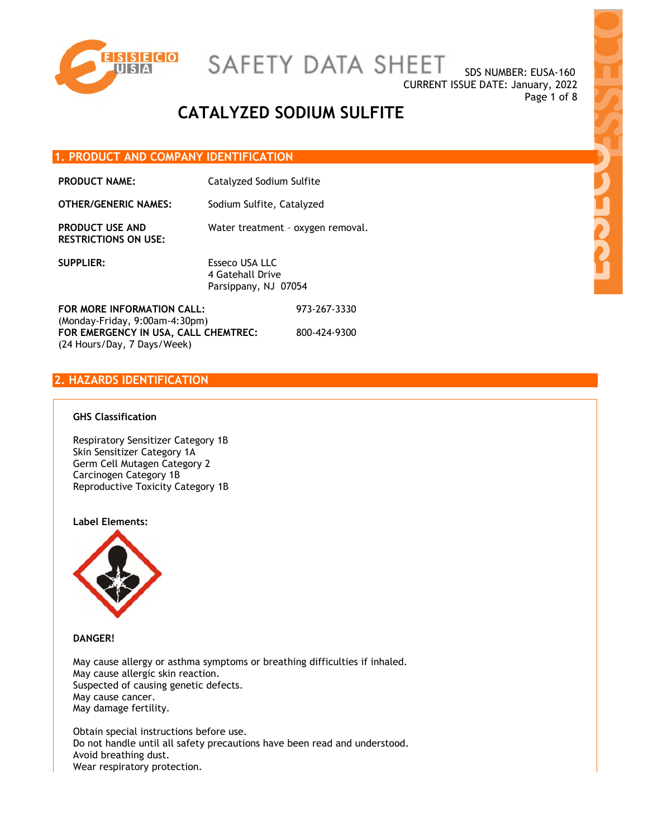

SDS NUMBER: EUSA-160 CURRENT ISSUE DATE: January, 2022 Page 1 of 8

# **CATALYZED SODIUM SULFITE**

### **1. PRODUCT AND COMPANY IDENTIFICATION**

**PRODUCT NAME:** Catalyzed Sodium Sulfite

| <b>OTHER/GENERIC NAMES:</b>                                                                                                           | Sodium Sulfite, Catalyzed                                  |              |
|---------------------------------------------------------------------------------------------------------------------------------------|------------------------------------------------------------|--------------|
| <b>PRODUCT USE AND</b><br><b>RESTRICTIONS ON USE:</b>                                                                                 | Water treatment - oxygen removal.                          |              |
| <b>SUPPLIER:</b>                                                                                                                      | Esseco USA LLC<br>4 Gatehall Drive<br>Parsippany, NJ 07054 |              |
| FOR MORE INFORMATION CALL:<br>$(Monday-Friday, 9:00am-4:30pm)$<br>FOR EMERGENCY IN USA, CALL CHEMTREC:<br>(24 Hours/Day, 7 Days/Week) |                                                            | 973-267-3330 |
|                                                                                                                                       |                                                            | 800-424-9300 |

## **2. HAZARDS IDENTIFICATION**

#### **GHS Classification**

Respiratory Sensitizer Category 1B Skin Sensitizer Category 1A Germ Cell Mutagen Category 2 Carcinogen Category 1B Reproductive Toxicity Category 1B

#### **Label Elements:**



**DANGER!** 

May cause allergy or asthma symptoms or breathing difficulties if inhaled. May cause allergic skin reaction. Suspected of causing genetic defects. May cause cancer. May damage fertility.

Obtain special instructions before use. Do not handle until all safety precautions have been read and understood. Avoid breathing dust. Wear respiratory protection.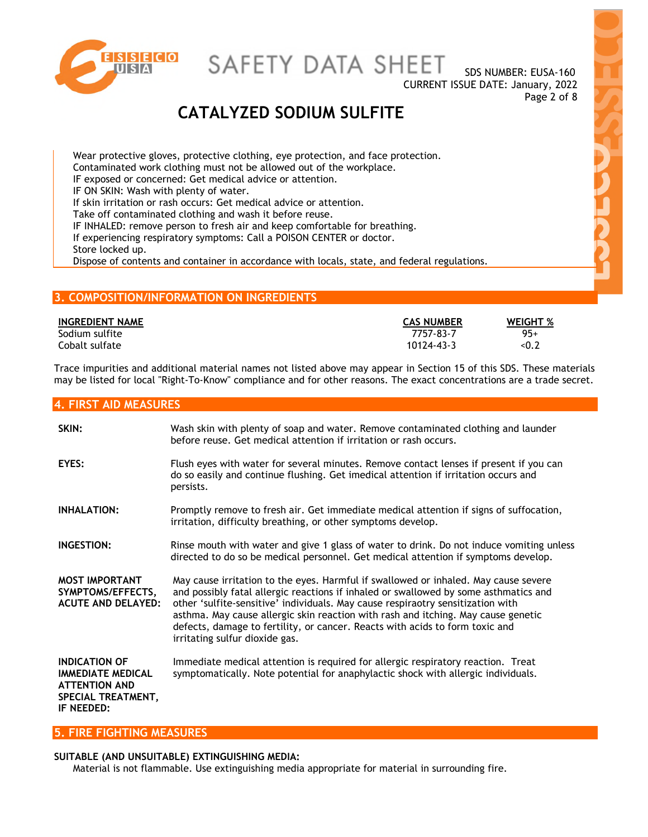

SDS NUMBER: EUSA-160 CURRENT ISSUE DATE: January, 2022 Page 2 of 8

# **CATALYZED SODIUM SULFITE**

Wear protective gloves, protective clothing, eye protection, and face protection. Contaminated work clothing must not be allowed out of the workplace. IF exposed or concerned: Get medical advice or attention. IF ON SKIN: Wash with plenty of water. If skin irritation or rash occurs: Get medical advice or attention. Take off contaminated clothing and wash it before reuse. IF INHALED: remove person to fresh air and keep comfortable for breathing. If experiencing respiratory symptoms: Call a POISON CENTER or doctor. Store locked up. Dispose of contents and container in accordance with locals, state, and federal regulations.

## **3. COMPOSITION/INFORMATION ON INGREDIENTS**

| <b>INGREDIENT NAME</b> | <b>CAS NUMBER</b> | <b>WEIGHT %</b> |
|------------------------|-------------------|-----------------|
| Sodium sulfite         | 7757-83-7         | $95+$           |
| Cobalt sulfate         | 10124-43-3        | < 0.2           |

Trace impurities and additional material names not listed above may appear in Section 15 of this SDS. These materials may be listed for local "Right-To-Know" compliance and for other reasons. The exact concentrations are a trade secret.

#### **4. FIRST AID MEASURES**

| SKIN:                                                                                                        | Wash skin with plenty of soap and water. Remove contaminated clothing and launder<br>before reuse. Get medical attention if irritation or rash occurs.                                                                                                                                                                                                                                                                                                                |
|--------------------------------------------------------------------------------------------------------------|-----------------------------------------------------------------------------------------------------------------------------------------------------------------------------------------------------------------------------------------------------------------------------------------------------------------------------------------------------------------------------------------------------------------------------------------------------------------------|
| EYES:                                                                                                        | Flush eyes with water for several minutes. Remove contact lenses if present if you can<br>do so easily and continue flushing. Get imedical attention if irritation occurs and<br>persists.                                                                                                                                                                                                                                                                            |
| <b>INHALATION:</b>                                                                                           | Promptly remove to fresh air. Get immediate medical attention if signs of suffocation,<br>irritation, difficulty breathing, or other symptoms develop.                                                                                                                                                                                                                                                                                                                |
| <b>INGESTION:</b>                                                                                            | Rinse mouth with water and give 1 glass of water to drink. Do not induce vomiting unless<br>directed to do so be medical personnel. Get medical attention if symptoms develop.                                                                                                                                                                                                                                                                                        |
| <b>MOST IMPORTANT</b><br>SYMPTOMS/EFFECTS,<br><b>ACUTE AND DELAYED:</b>                                      | May cause irritation to the eyes. Harmful if swallowed or inhaled. May cause severe<br>and possibly fatal allergic reactions if inhaled or swallowed by some asthmatics and<br>other 'sulfite-sensitive' individuals. May cause respiraotry sensitization with<br>asthma. May cause allergic skin reaction with rash and itching. May cause genetic<br>defects, damage to fertility, or cancer. Reacts with acids to form toxic and<br>irritating sulfur dioxide gas. |
| <b>INDICATION OF</b><br><b>IMMEDIATE MEDICAL</b><br><b>ATTENTION AND</b><br>SPECIAL TREATMENT,<br>IF NEEDED: | Immediate medical attention is required for allergic respiratory reaction. Treat<br>symptomatically. Note potential for anaphylactic shock with allergic individuals.                                                                                                                                                                                                                                                                                                 |

### **5. FIRE FIGHTING MEASURES**

#### **SUITABLE (AND UNSUITABLE) EXTINGUISHING MEDIA:**

Material is not flammable. Use extinguishing media appropriate for material in surrounding fire.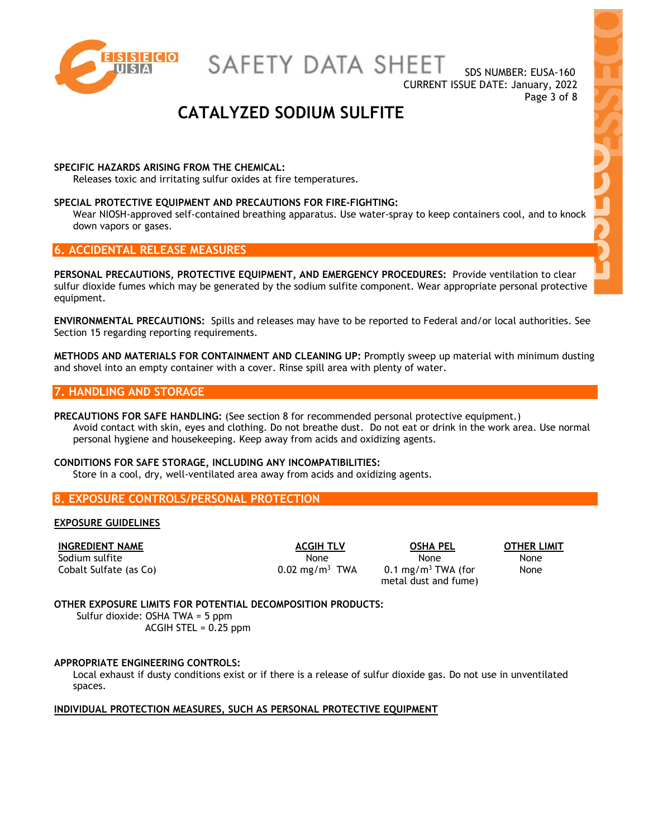

SDS NUMBER: EUSA-160 CURRENT ISSUE DATE: January, 2022 Page 3 of 8

# **CATALYZED SODIUM SULFITE**

#### **SPECIFIC HAZARDS ARISING FROM THE CHEMICAL:**

Releases toxic and irritating sulfur oxides at fire temperatures.

#### **SPECIAL PROTECTIVE EQUIPMENT AND PRECAUTIONS FOR FIRE-FIGHTING:**

Wear NIOSH-approved self-contained breathing apparatus. Use water-spray to keep containers cool, and to knock down vapors or gases.

## **6. ACCIDENTAL RELEASE MEASURES**

**PERSONAL PRECAUTIONS, PROTECTIVE EQUIPMENT, AND EMERGENCY PROCEDURES:** Provide ventilation to clear sulfur dioxide fumes which may be generated by the sodium sulfite component. Wear appropriate personal protective equipment.

**ENVIRONMENTAL PRECAUTIONS:** Spills and releases may have to be reported to Federal and/or local authorities. See Section 15 regarding reporting requirements.

**METHODS AND MATERIALS FOR CONTAINMENT AND CLEANING UP:** Promptly sweep up material with minimum dusting and shovel into an empty container with a cover. Rinse spill area with plenty of water.

### **7. HANDLING AND STORAGE**

**PRECAUTIONS FOR SAFE HANDLING:** (See section 8 for recommended personal protective equipment.) Avoid contact with skin, eyes and clothing. Do not breathe dust. Do not eat or drink in the work area. Use normal personal hygiene and housekeeping. Keep away from acids and oxidizing agents.

#### **CONDITIONS FOR SAFE STORAGE, INCLUDING ANY INCOMPATIBILITIES:**

Store in a cool, dry, well-ventilated area away from acids and oxidizing agents.

#### **8. EXPOSURE CONTROLS/PERSONAL PROTECTION**

#### **EXPOSURE GUIDELINES**

Sodium sulfite None None None None None None None Cobalt Sulfate (as Co)  $0.02 \text{ mg/m}^3$  TWA  $0.1 \text{ mg/m}^3$  TWA (for

**INGREDIENT NAME ACGIH TLV OSHA PEL OTHER LIMIT** metal dust and fume)

None

#### **OTHER EXPOSURE LIMITS FOR POTENTIAL DECOMPOSITION PRODUCTS:**

Sulfur dioxide: OSHA TWA = 5 ppm ACGIH STEL = 0.25 ppm

#### **APPROPRIATE ENGINEERING CONTROLS:**

Local exhaust if dusty conditions exist or if there is a release of sulfur dioxide gas. Do not use in unventilated spaces.

#### **INDIVIDUAL PROTECTION MEASURES, SUCH AS PERSONAL PROTECTIVE EQUIPMENT**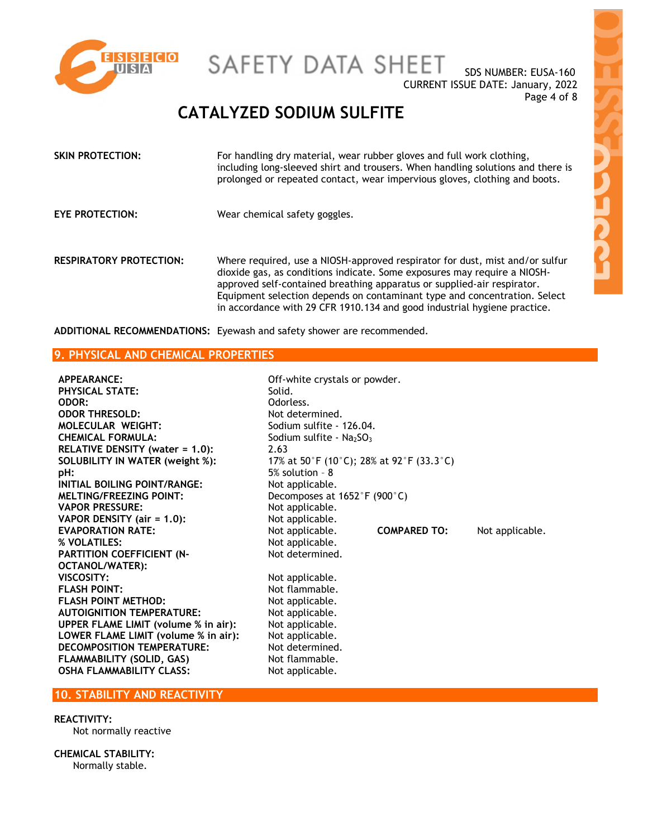

SDS NUMBER: EUSA-160 CURRENT ISSUE DATE: January, 2022 Page 4 of 8

# **CATALYZED SODIUM SULFITE**

| SKIN PROTECTION:               | For handling dry material, wear rubber gloves and full work clothing,<br>including long-sleeved shirt and trousers. When handling solutions and there is<br>prolonged or repeated contact, wear impervious gloves, clothing and boots.                                                                                                                                                       |
|--------------------------------|----------------------------------------------------------------------------------------------------------------------------------------------------------------------------------------------------------------------------------------------------------------------------------------------------------------------------------------------------------------------------------------------|
| EYE PROTECTION:                | Wear chemical safety goggles.                                                                                                                                                                                                                                                                                                                                                                |
| <b>RESPIRATORY PROTECTION:</b> | Where required, use a NIOSH-approved respirator for dust, mist and/or sulfur<br>dioxide gas, as conditions indicate. Some exposures may require a NIOSH-<br>approved self-contained breathing apparatus or supplied-air respirator.<br>Equipment selection depends on contaminant type and concentration. Select<br>in accordance with 29 CFR 1910.134 and good industrial hygiene practice. |

Odorless.

Not determined.

**ADDITIONAL RECOMMENDATIONS:** Eyewash and safety shower are recommended.

## **9. PHYSICAL AND CHEMICAL PROPERTIES**

**APPEARANCE:** Off-white crystals or powder. **PHYSICAL STATE:** Solid. **ODOR THRESOLD:** Not determined. **MOLECULAR WEIGHT:** Sodium sulfite - 126.04. **CHEMICAL FORMULA:** Sodium sulfite - Na<sub>2</sub>SO<sub>3</sub> **RELATIVE DENSITY (water = 1.0):** 2.63 **SOLUBILITY IN WATER (weight %):** 17% at 50°F (10°C); 28% at 92°F (33.3°C) **pH:** 5% solution – 8 **INITIAL BOILING POINT/RANGE:** Not applicable. **MELTING/FREEZING POINT:** Decomposes at 1652°F (900°C) **VAPOR PRESSURE:** Not applicable. **VAPOR DENSITY (air = 1.0):** Not applicable. **EVAPORATION RATE:** Not applicable. **COMPARED TO:** Not applicable. **% VOLATILES:** Not applicable. **PARTITION COEFFICIENT (N-OCTANOL/WATER): VISCOSITY:** Not applicable. **FLASH POINT:** Not flammable. **FLASH POINT METHOD:** Not applicable. **AUTOIGNITION TEMPERATURE:** Not applicable. **UPPER FLAME LIMIT (volume % in air):** Not applicable. **LOWER FLAME LIMIT (volume % in air):** Not applicable. **DECOMPOSITION TEMPERATURE:** Not determined. **FLAMMABILITY (SOLID, GAS)** Not flammable. **OSHA FLAMMABILITY CLASS:** Not applicable.

## **10. STABILITY AND REACTIVITY**

## **REACTIVITY:**

Not normally reactive

**CHEMICAL STABILITY:**  Normally stable.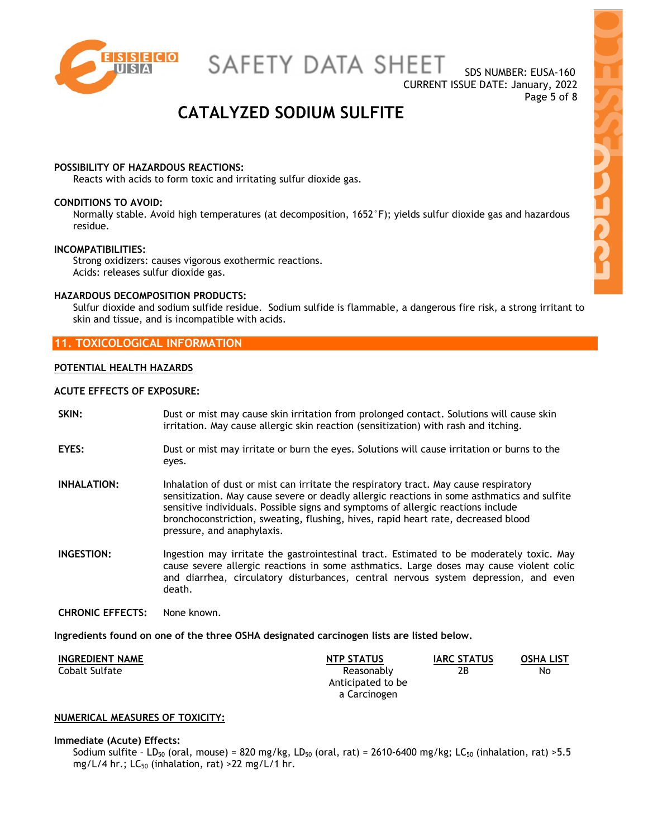

SDS NUMBER: EUSA-160 CURRENT ISSUE DATE: January, 2022 Page 5 of 8

# **CATALYZED SODIUM SULFITE**

#### **POSSIBILITY OF HAZARDOUS REACTIONS:**

Reacts with acids to form toxic and irritating sulfur dioxide gas.

#### **CONDITIONS TO AVOID:**

Normally stable. Avoid high temperatures (at decomposition, 1652°F); yields sulfur dioxide gas and hazardous residue.

#### **INCOMPATIBILITIES:**

Strong oxidizers: causes vigorous exothermic reactions. Acids: releases sulfur dioxide gas.

#### **HAZARDOUS DECOMPOSITION PRODUCTS:**

Sulfur dioxide and sodium sulfide residue. Sodium sulfide is flammable, a dangerous fire risk, a strong irritant to skin and tissue, and is incompatible with acids.

## **11. TOXICOLOGICAL INFORMATION**

#### **POTENTIAL HEALTH HAZARDS**

#### **ACUTE EFFECTS OF EXPOSURE:**

- **SKIN:** Dust or mist may cause skin irritation from prolonged contact. Solutions will cause skin irritation. May cause allergic skin reaction (sensitization) with rash and itching.
- **EYES:** Dust or mist may irritate or burn the eyes. Solutions will cause irritation or burns to the eyes.
- **INHALATION:** Inhalation of dust or mist can irritate the respiratory tract. May cause respiratory sensitization. May cause severe or deadly allergic reactions in some asthmatics and sulfite sensitive individuals. Possible signs and symptoms of allergic reactions include bronchoconstriction, sweating, flushing, hives, rapid heart rate, decreased blood pressure, and anaphylaxis.
- **INGESTION:** Ingestion may irritate the gastrointestinal tract. Estimated to be moderately toxic. May cause severe allergic reactions in some asthmatics. Large doses may cause violent colic and diarrhea, circulatory disturbances, central nervous system depression, and even death.
- **CHRONIC EFFECTS:** None known.

**Ingredients found on one of the three OSHA designated carcinogen lists are listed below.** 

| <b>INGREDIENT NAME</b> | <b>NTP STATUS</b> | <b>IARC STATUS</b> | <b>OSHA LIST</b> |
|------------------------|-------------------|--------------------|------------------|
| Cobalt Sulfate         | 2В<br>Reasonably  |                    | No               |
|                        | Anticipated to be |                    |                  |
|                        | a Carcinogen      |                    |                  |

#### **NUMERICAL MEASURES OF TOXICITY:**

#### **Immediate (Acute) Effects:**

Sodium sulfite - LD<sub>50</sub> (oral, mouse) = 820 mg/kg, LD<sub>50</sub> (oral, rat) = 2610-6400 mg/kg; LC<sub>50</sub> (inhalation, rat) > 5.5 mg/L/4 hr.;  $LC_{50}$  (inhalation, rat) >22 mg/L/1 hr.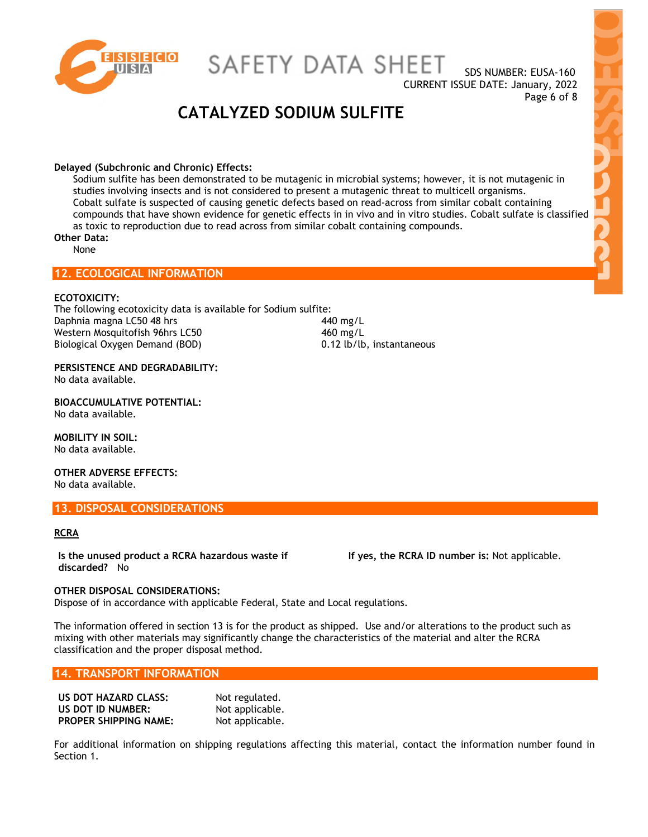

SDS NUMBER: EUSA-160 CURRENT ISSUE DATE: January, 2022 Page 6 of 8

# **CATALYZED SODIUM SULFITE**

#### **Delayed (Subchronic and Chronic) Effects:**

Sodium sulfite has been demonstrated to be mutagenic in microbial systems; however, it is not mutagenic in studies involving insects and is not considered to present a mutagenic threat to multicell organisms. Cobalt sulfate is suspected of causing genetic defects based on read-across from similar cobalt containing compounds that have shown evidence for genetic effects in in vivo and in vitro studies. Cobalt sulfate is classified as toxic to reproduction due to read across from similar cobalt containing compounds.

### **Other Data:**

None

## **12. ECOLOGICAL INFORMATION**

#### **ECOTOXICITY:**

The following ecotoxicity data is available for Sodium sulfite: Daphnia magna LC50 48 hrs 440 mg/L Western Mosquitofish 96hrs LC50 460 mg/L Biological Oxygen Demand (BOD) 0.12 lb/lb, instantaneous

**PERSISTENCE AND DEGRADABILITY:**  No data available.

**BIOACCUMULATIVE POTENTIAL:**  No data available.

**MOBILITY IN SOIL:**  No data available.

**OTHER ADVERSE EFFECTS:**  No data available.

#### **13. DISPOSAL CONSIDERATIONS**

#### **RCRA**

**Is the unused product a RCRA hazardous waste if discarded?** No

**If yes, the RCRA ID number is:** Not applicable.

#### **OTHER DISPOSAL CONSIDERATIONS:**

Dispose of in accordance with applicable Federal, State and Local regulations.

The information offered in section 13 is for the product as shipped. Use and/or alterations to the product such as mixing with other materials may significantly change the characteristics of the material and alter the RCRA classification and the proper disposal method.

#### **14. TRANSPORT INFORMATION**

| US DOT HAZARD CLASS:         | Not regulated.  |
|------------------------------|-----------------|
| US DOT ID NUMBER:            | Not applicable. |
| <b>PROPER SHIPPING NAME:</b> | Not applicable. |

For additional information on shipping regulations affecting this material, contact the information number found in Section 1.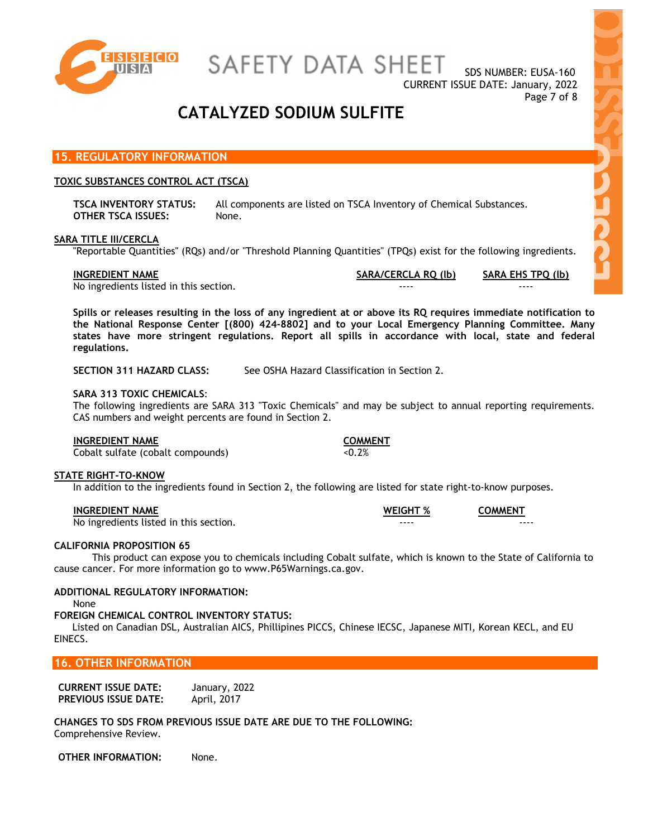

SDS NUMBER: EUSA-160 CURRENT ISSUE DATE: January, 2022 Page 7 of 8

## **CATALYZED SODIUM SULFITE**

### **15. REGULATORY INFORMATION**

#### **TOXIC SUBSTANCES CONTROL ACT (TSCA)**

**TSCA INVENTORY STATUS:** All components are listed on TSCA Inventory of Chemical Substances. **OTHER TSCA ISSUES:** None.

#### **SARA TITLE III/CERCLA**

"Reportable Quantities" (RQs) and/or "Threshold Planning Quantities" (TPQs) exist for the following ingredients.

**INGREDIENT NAME SARA/CERCLA RQ (lb) SARA EHS TPQ (lb)**

No ingredients listed in this section.

**Spills or releases resulting in the loss of any ingredient at or above its RQ requires immediate notification to the National Response Center [(800) 424-8802] and to your Local Emergency Planning Committee. Many states have more stringent regulations. Report all spills in accordance with local, state and federal regulations.** 

**SECTION 311 HAZARD CLASS:** See OSHA Hazard Classification in Section 2.

#### **SARA 313 TOXIC CHEMICALS**:

The following ingredients are SARA 313 "Toxic Chemicals" and may be subject to annual reporting requirements. CAS numbers and weight percents are found in Section 2.

#### **INGREDIENT NAME COMMENT**

 $\overline{\text{Cobalt}}$  sulfate (cobalt compounds)  $\overline{\text{Cobalt}}$ 

#### **STATE RIGHT-TO-KNOW**

In addition to the ingredients found in Section 2, the following are listed for state right-to-know purposes.

| <b>INGREDIENT NAME</b>                 | <b>WEIGHT %</b> | <b>COMMENT</b> |
|----------------------------------------|-----------------|----------------|
| No ingredients listed in this section. | ----            | ----           |

#### **CALIFORNIA PROPOSITION 65**

This product can expose you to chemicals including Cobalt sulfate, which is known to the State of California to cause cancer. For more information go to www.P65Warnings.ca.gov.

#### **ADDITIONAL REGULATORY INFORMATION:**

None

#### **FOREIGN CHEMICAL CONTROL INVENTORY STATUS:**

 Listed on Canadian DSL, Australian AICS, Phillipines PICCS, Chinese IECSC, Japanese MITI, Korean KECL, and EU EINECS.

## **16. OTHER INFORMATION**

| <b>CURRENT ISSUE DATE:</b>  | January, 2022 |
|-----------------------------|---------------|
| <b>PREVIOUS ISSUE DATE:</b> | April, 2017   |

**CHANGES TO SDS FROM PREVIOUS ISSUE DATE ARE DUE TO THE FOLLOWING:**  Comprehensive Review.

**OTHER INFORMATION:** None.







**Lick**